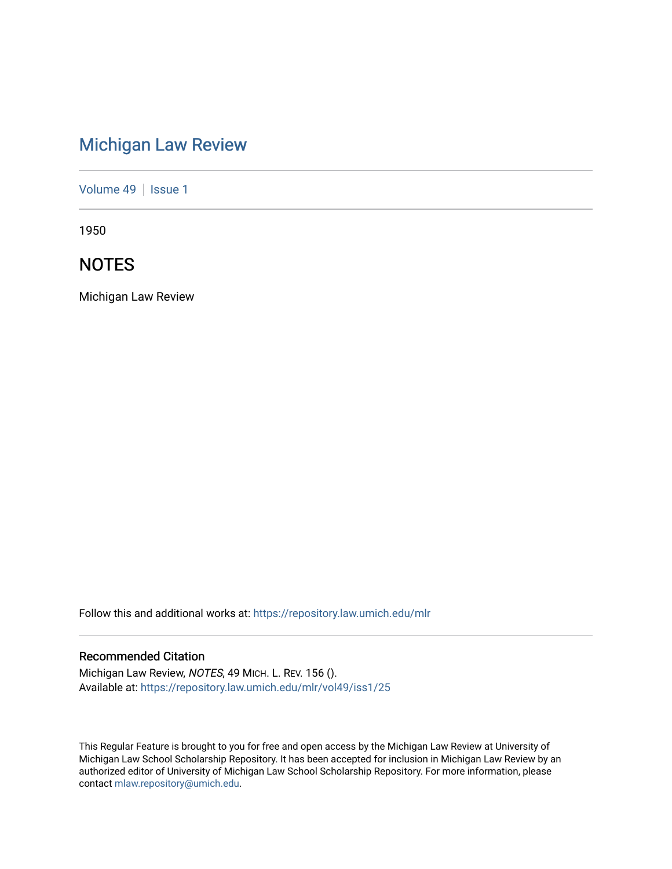# [Michigan Law Review](https://repository.law.umich.edu/mlr)

[Volume 49](https://repository.law.umich.edu/mlr/vol49) | [Issue 1](https://repository.law.umich.edu/mlr/vol49/iss1)

1950

# **NOTES**

Michigan Law Review

Follow this and additional works at: [https://repository.law.umich.edu/mlr](https://repository.law.umich.edu/mlr?utm_source=repository.law.umich.edu%2Fmlr%2Fvol49%2Fiss1%2F25&utm_medium=PDF&utm_campaign=PDFCoverPages) 

# Recommended Citation

Michigan Law Review, NOTES, 49 MICH. L. REV. 156 (). Available at: [https://repository.law.umich.edu/mlr/vol49/iss1/25](https://repository.law.umich.edu/mlr/vol49/iss1/25?utm_source=repository.law.umich.edu%2Fmlr%2Fvol49%2Fiss1%2F25&utm_medium=PDF&utm_campaign=PDFCoverPages) 

This Regular Feature is brought to you for free and open access by the Michigan Law Review at University of Michigan Law School Scholarship Repository. It has been accepted for inclusion in Michigan Law Review by an authorized editor of University of Michigan Law School Scholarship Repository. For more information, please contact [mlaw.repository@umich.edu](mailto:mlaw.repository@umich.edu).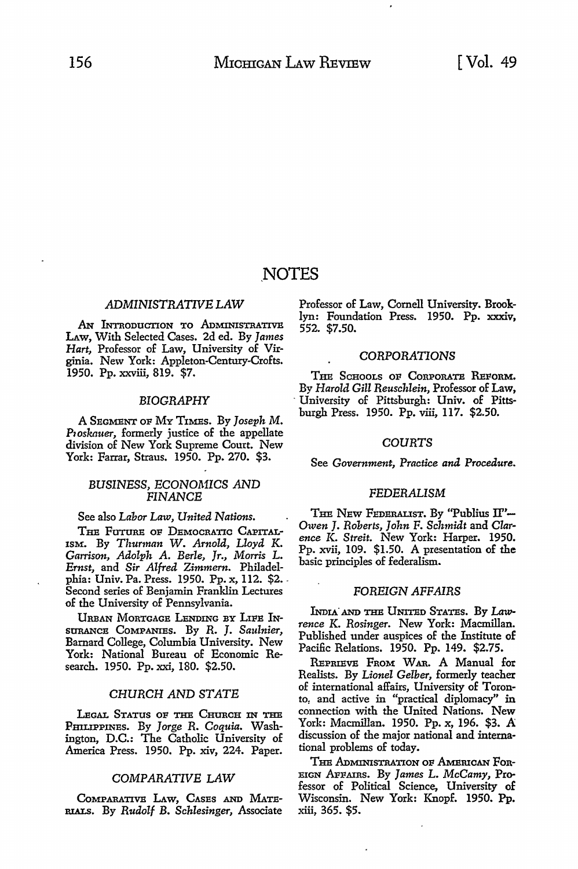# \_NOTES

# *ADMINISTRATWE LAW*

AN INTRODUCTION TO ADMINISTRATIVE LAw, With Selected Cases. 2d ed. By *James Hart,* Professor of Law, University of Virginia. New York: Appleton-Century-Crofts. 1950. Pp. xxviii, 819. \$7.

#### *BIOGRAPHY*

A SEGMENT OF MY TIMES. By *Joseph M. P10sknuer,* formerly justice of the appellate division of New York Supreme Court. New York: Farrar, Straus. 1950. Pp. 270. \$3.

# *BUSINESS, ECONOMICS AND FINANCE*

See also *Labor* Law, *United Nations.* 

THE FUTURE OF DEMOCRATIC CAPITAL-ISM. By *Thurman W. Arnold, Lloyd K. Garrison, Adolph A. Berle, Jr., Morris* L. *Ernst,* and *Sir Alfred Zimmern.* Philadelphia: Univ. Pa. Press. 1950. Pp. x, 112. \$2. , Second series of Benjamin Franklin Lectures of the University of Pennsylvania.

URBAN MORTGAGE LENDING BY LIFE IN-SURANCE CoMPANIEs. By *R.* J. *Saulnier,*  Barnard College, Columbia University. New York: National Bureau of Economic Research. 1950. Pp. xxi, 180. \$2.50.

# *CHURCH AND STATE*

LEGAL STATUS OF THE CHURCH IN THE PHILIPPINES. By *Jorge R. Coquia.* Washington, D.C.: The Catholic University of America Press. 1950. Pp. xiv, 224. Paper.

#### *COMPARATIVE LAW*

CoMPARATIVB LAw, CAsEs AND MATE-RIALS. By *Rudolf B. Schlesinger,* Associate Professor of Law, Cornell University. Brooklyn: Foundation Press. 1950. Pp. xxxiv, 552. \$7.50.

#### CORPORATIONS

THE SCHOOLS OF CORPORATE REFORM. By *Harold Gill Reuschlein,* Professor of Law, - University of Pittsburgh: Univ. of Pittsburgh Press. 1950. Pp. viii, 117. \$2.50.

### *COURTS*

See *Government, Practice and Procedure.* 

#### *FEDERALISM*

THE NEW FEDERALIST. By "Publius II"--<br>Owen J. Roberts, John F. Schmidt and Clar-*Owen J. Roberts, John* F. *Schmidt* and *Clar- ence* K. *Streit.* New York: Harper. 1950. Pp. xvii, 109. \$1.50. A presentation of the basic principles of federalism.

### FOREIGN *AFFAIRS*

INDIA' AND THE UNITED STATES. By Law*rence K. Rosinger.* New York: Macmillan. Published under auspices of the Institute of Pacific Relations. 1950. Pp. 149. \$2.75.

REPRIEVE FROM WAR. A Manual for Realists. By *Lionel Gelber,* formerly teacher of international affairs, University of Toronto, and active in "practical diplomacy" in connection with the United Nations. New York: Macmillan. 1950. Pp. x, 196. \$3. A discussion of the major national and international problems of today.

THE ADMINISTRATION OF AMERICAN FOR-EIGN AFFAIRS. By *James L. McCamy,* Professor of Political Science, University of Wisconsin. New York: Knopf. 1950. Pp. xiii, 365. \$5.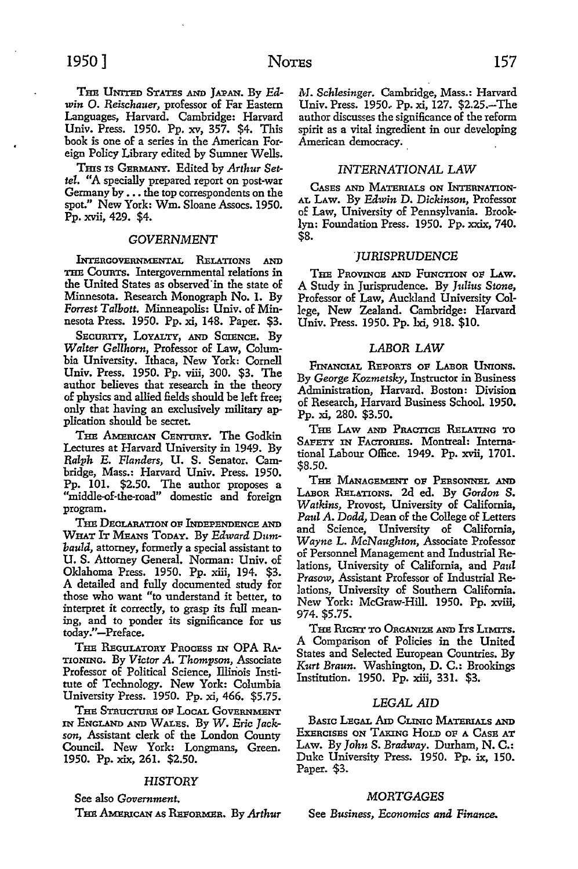THB UNITED STATES AND JAPAN. By *Edwin* 0. *Reischauer,* professor of Far Eastern Languages, Harvard. Cambridge: Harvard Univ. Press. 1950. Pp. xv, 357. \$4. This book is one of a series in the American Foreign Policy Library edited by Sumner Wells.

Tms 1s GERMANY. Edited by *Arthur Settel.* "A specially prepared report on post-war Germany by . . . the top correspondents on the spot." New York: Wm. Sloane Assocs. 1950. Pp. xvii, 429. \$4.

#### *GOVERNMENT*

lNrERGOVERNMENTAL RELATIONS AND THE COURTS. Intergovernmental relations in the United States as observed in the state of Minnesota. Research Monograph No. l. By *Forrest Talbott.* Minneapolis: Univ. of Minnesota Press. 1950. Pp. xi, 148. Paper. \$3.

SECURITY, LOYALTY, AND SCIENCE. By *Walter Gellhorn,* Professor of Law, Colum· bia University. Ithaca, New York: Cornell Univ. Press. 1950. Pp. viii, 300. \$3. The author believes that research in the theory of physics and allied fields should be left free; only that having an exclusively military application should be secret.

THE AMERICAN CENTURY. The Godkin Lectures at Harvard University in 1949. By *Ralph* E. *Flanders,* U. S. Senator. Cambridge, Mass.: Harvard Univ. Press. 1950. Pp. 101. \$2.50. The author proposes a "middle-of-the-road" domestic and foreign program.

THE DECLARATION OF INDEPENDENCE AND WHAT IT MEANs ToDAY. By *Edward Dumbauld,* attorney, formerly a special assistant to **U.S.** Attorney General. Norman: Univ. of Oklahoma Press. 1950. Pp. xiii, 194. \$3. A detailed and fully documented study for those who want "to understand it better, to interpret it correctly, to grasp its full meaning, and to ponder its significance for us today."-Preface.

THE REGULATORY PROCESS IN OPA RA-TIONING. By *Victor A. Thompson,* Associate Professor of Political Science, Illinois Institute of Technology. New York: Columbia University Press. 1950. Pp. xi, 466. \$5.75.

THE STRUCTURE OF LOCAL GOVERNMENT IN ENGLAND AND WALES. By *W. Eric Jackson,* Assistant clerk of the London County Council. New York: Longmans, Green. 1950. Pp. xix, 261. \$2.50.

#### *HISTORY*

See also *Government,* 

Tm! AMERICAN AS REPoRMBR, By *Arthur* 

*M. Schlesinger.* Cambridge, Mass.: Harvard Univ. Press. 1950, Pp. xi, 127. \$2.25.-The author discusses the significance of the reform spirit as a vital ingredient in our developing American democracy.

# *INTERNATIONAL LAW*

CASES AND MATERIALS ON lNrERNATION-AL LAW. By *Edwin* D. *Dickinson,* Professor of Law, University of Pennsylvania. Brooklyn: Foundation Press. 1950. Pp. xxix, 740. \$8.

#### JURISPRUDENCE

THE PROVINCE AND FUNCTION op **LAw.**  A Study in Jurisprudence. By *Julius Stone,*  Professor of Law, Auckland University College, New Zealand. Cambridge: Harvard Univ. Press. 1950. Pp. lxi, 918. \$10.

# LABOR *LAW*

FINANCIAL REPORTS OF LABOR UNIONS. By *George Kozmetsky,* Instructor in Business Administration, Harvard. Boston: Division of Research, Harvard Business School. 1950. Pp. xi, 280. \$3.50.

THE LAw AND PRACTICE RELATING To SAFETY IN FACTORIES. Montreal: International Labour Office. 1949. Pp. xvii, 1701. \$8.50.

THE MANAGEMENT OF PERSONNEL AND LABOR RELATIONS. 2d ed. By *Gordon S. Watkins,* Provost, University of California, *Paul* A. *Dodd,* Dean of the College of Letters and Science, University of California, *Wayne* L. *McNaughton,* Associate Professor of Personnel Management and Industrial Relations, University of California, and *Paul Prasow,* Assistant Professor of Industrial Relations, University of Southern California. New York: McGraw-Hill. 1950. Pp. xviii, 974. \$5.75.

THE RIGHT TO ORGANIZE AND ITS LIMITS. A Comparison of Policies in the United States and Selected European Countries. By *Kurt Braun.* Washington, D. C.: Brookings Institution. 1950. Pp. xiii, 331. \$3.

# LEGAL AID

BASIC LEGAL Aro CLINIC MATERIALS AND EXERCISES ON TAXING HoLD oP A CAsE AT LAw. By *John S. Bradway.* Durham, N. C.: Duke University Press. 1950. Pp. ix, 150. Paper. \$3.

# *MORTGAGES*

See *Business, Economics and Finance.*